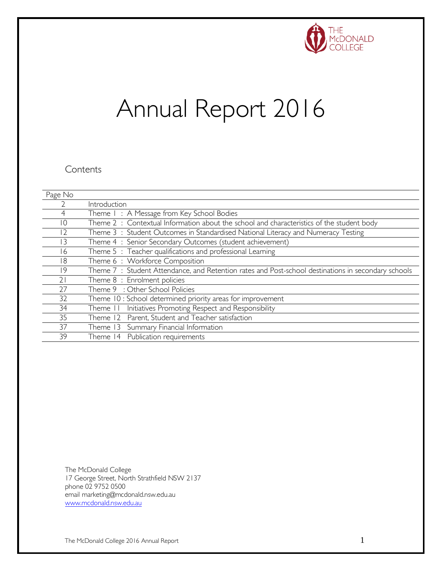

# Annual Report 2016

#### **Contents**

| Page No        |                                                                                                    |
|----------------|----------------------------------------------------------------------------------------------------|
|                | Introduction                                                                                       |
| 4              | Theme I: A Message from Key School Bodies                                                          |
| 10             | Theme 2 : Contextual Information about the school and characteristics of the student body          |
| $\overline{2}$ | Theme 3: Student Outcomes in Standardised National Literacy and Numeracy Testing                   |
| 13             | Theme 4 : Senior Secondary Outcomes (student achievement)                                          |
| 16             | Theme 5: Teacher qualifications and professional Learning                                          |
| 18             | Theme 6: Workforce Composition                                                                     |
| 19             | Theme 7: Student Attendance, and Retention rates and Post-school destinations in secondary schools |
| 21             | Theme 8 : Enrolment policies                                                                       |
| 27             | Theme 9 : Other School Policies                                                                    |
| 32             | Theme 10 : School determined priority areas for improvement                                        |
| 34             | Initiatives Promoting Respect and Responsibility<br>Theme                                          |
| 35             | Theme 12 Parent, Student and Teacher satisfaction                                                  |
| 37             | Theme 13 Summary Financial Information                                                             |
| 39             | Theme 14 Publication requirements                                                                  |

The McDonald College 17 George Street, North Strathfield NSW 2137 phone 02 9752 0500 email marketing@mcdonald.nsw.edu.au [www.mcdonald.nsw.edu.au](http://www.mcdonald.nsw.edu.au/)

The McDonald College 2016 Annual Report 1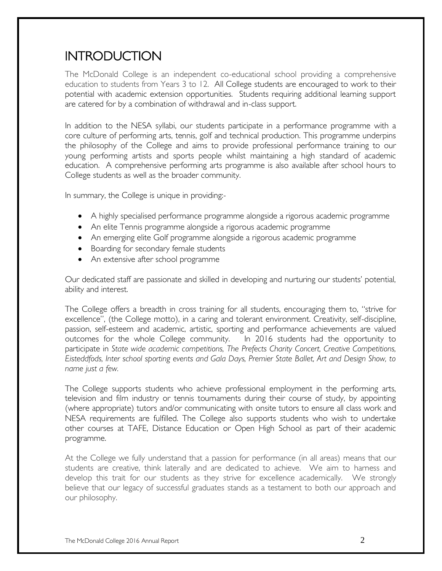### INTRODUCTION

The McDonald College is an independent co-educational school providing a comprehensive education to students from Years 3 to 12. All College students are encouraged to work to their potential with academic extension opportunities. Students requiring additional learning support are catered for by a combination of withdrawal and in-class support.

In addition to the NESA syllabi, our students participate in a performance programme with a core culture of performing arts, tennis, golf and technical production. This programme underpins the philosophy of the College and aims to provide professional performance training to our young performing artists and sports people whilst maintaining a high standard of academic education. A comprehensive performing arts programme is also available after school hours to College students as well as the broader community.

In summary, the College is unique in providing:-

- A highly specialised performance programme alongside a rigorous academic programme
- An elite Tennis programme alongside a rigorous academic programme
- An emerging elite Golf programme alongside a rigorous academic programme
- Boarding for secondary female students
- An extensive after school programme

Our dedicated staff are passionate and skilled in developing and nurturing our students' potential, ability and interest.

The College offers a breadth in cross training for all students, encouraging them to, "strive for excellence", (the College motto), in a caring and tolerant environment. Creativity, self-discipline, passion, self-esteem and academic, artistic, sporting and performance achievements are valued outcomes for the whole College community. In 2016 students had the opportunity to participate in *State wide academic competitions, The Prefects Charity Concert, Creative Competitions, Eisteddfods, Inter school sporting events and Gala Days, Premier State Ballet, Art and Design Show, to name just a few.*

The College supports students who achieve professional employment in the performing arts, television and film industry or tennis tournaments during their course of study, by appointing (where appropriate) tutors and/or communicating with onsite tutors to ensure all class work and NESA requirements are fulfilled. The College also supports students who wish to undertake other courses at TAFE, Distance Education or Open High School as part of their academic programme.

At the College we fully understand that a passion for performance (in all areas) means that our students are creative, think laterally and are dedicated to achieve. We aim to harness and develop this trait for our students as they strive for excellence academically. We strongly believe that our legacy of successful graduates stands as a testament to both our approach and our philosophy.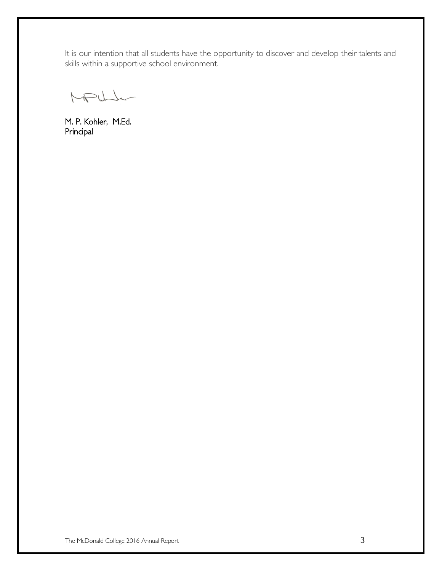It is our intention that all students have the opportunity to discover and develop their talents and skills within a supportive school environment.

MPULL

M. P. Kohler, M.Ed. Principal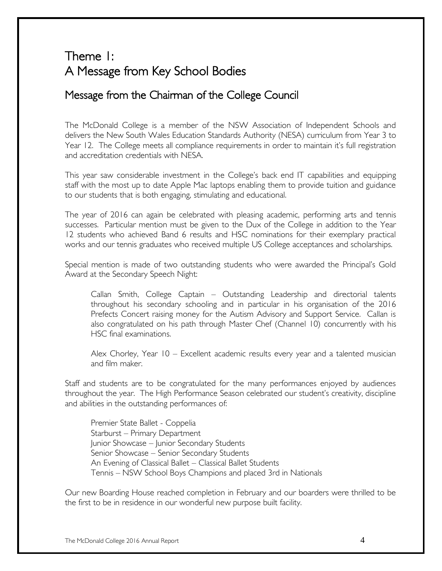### Theme 1: A Message from Key School Bodies

### Message from the Chairman of the College Council

The McDonald College is a member of the NSW Association of Independent Schools and delivers the New South Wales Education Standards Authority (NESA) curriculum from Year 3 to Year 12. The College meets all compliance requirements in order to maintain it's full registration and accreditation credentials with NESA.

This year saw considerable investment in the College's back end IT capabilities and equipping staff with the most up to date Apple Mac laptops enabling them to provide tuition and guidance to our students that is both engaging, stimulating and educational.

The year of 2016 can again be celebrated with pleasing academic, performing arts and tennis successes. Particular mention must be given to the Dux of the College in addition to the Year 12 students who achieved Band 6 results and HSC nominations for their exemplary practical works and our tennis graduates who received multiple US College acceptances and scholarships.

Special mention is made of two outstanding students who were awarded the Principal's Gold Award at the Secondary Speech Night:

Callan Smith, College Captain – Outstanding Leadership and directorial talents throughout his secondary schooling and in particular in his organisation of the 2016 Prefects Concert raising money for the Autism Advisory and Support Service. Callan is also congratulated on his path through Master Chef (Channel 10) concurrently with his HSC final examinations.

Alex Chorley, Year 10 – Excellent academic results every year and a talented musician and film maker.

Staff and students are to be congratulated for the many performances enjoyed by audiences throughout the year. The High Performance Season celebrated our student's creativity, discipline and abilities in the outstanding performances of:

Premier State Ballet - Coppelia Starburst – Primary Department Junior Showcase – Junior Secondary Students Senior Showcase – Senior Secondary Students An Evening of Classical Ballet – Classical Ballet Students Tennis – NSW School Boys Champions and placed 3rd in Nationals

Our new Boarding House reached completion in February and our boarders were thrilled to be the first to be in residence in our wonderful new purpose built facility.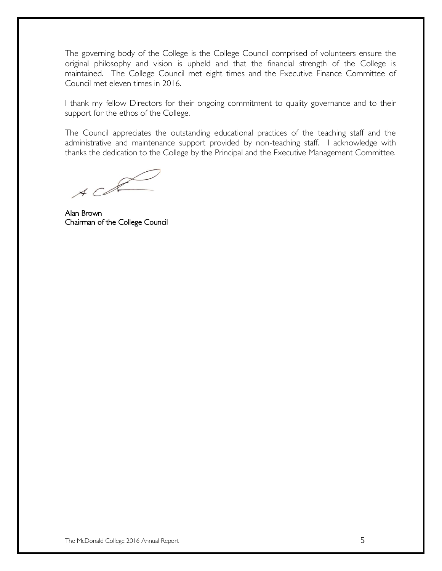The governing body of the College is the College Council comprised of volunteers ensure the original philosophy and vision is upheld and that the financial strength of the College is maintained. The College Council met eight times and the Executive Finance Committee of Council met eleven times in 2016.

I thank my fellow Directors for their ongoing commitment to quality governance and to their support for the ethos of the College.

The Council appreciates the outstanding educational practices of the teaching staff and the administrative and maintenance support provided by non-teaching staff. I acknowledge with thanks the dedication to the College by the Principal and the Executive Management Committee.

 $ACR$ 

Alan Brown Chairman of the College Council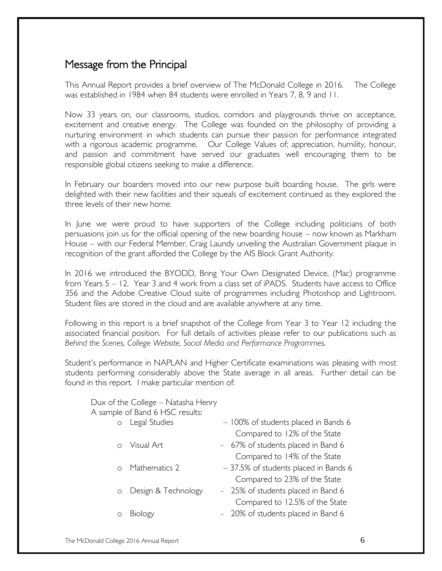### Message from the Principal

This Annual Report provides a brief overview of The McDonald College in 2016. The College was established in 1984 when 84 students were enrolled in Years 7, 8, 9 and 11.

Now 33 years on, our classrooms, studios, corridors and playgrounds thrive on acceptance, excitement and creative energy. The College was founded on the philosophy of providing a nurturing environment in which students can pursue their passion for performance integrated with a rigorous academic programme. Our College Values of; appreciation, humility, honour, and passion and commitment have served our graduates well encouraging them to be responsible global citizens seeking to make a difference.

In February our boarders moved into our new purpose built boarding house. The girls were delighted with their new facilities and their squeals of excitement continued as they explored the three levels of their new home.

In June we were proud to have supporters of the College including politicians of both persuasions join us for the official opening of the new boarding house – now known as Markham House – with our Federal Member, Craig Laundy unveiling the Australian Government plaque in recognition of the grant afforded the College by the AIS Block Grant Authority.

In 2016 we introduced the BYODD, Bring Your Own Designated Device, (Mac) programme from Years 5 – 12. Year 3 and 4 work from a class set of iPADS. Students have access to Office 356 and the Adobe Creative Cloud suite of programmes including Photoshop and Lightroom. Student files are stored in the cloud and are available anywhere at any time.

Following in this report is a brief snapshot of the College from Year 3 to Year 12 including the associated financial position. For full details of activities please refer to our publications such as *Behind the Scenes, College Website, Social Media and Performance Programmes.*

Student's performance in NAPLAN and Higher Certificate examinations was pleasing with most students performing considerably above the State average in all areas. Further detail can be found in this report. I make particular mention of:

#### Dux of the College – Natasha Henry A sample of Band 6 HSC results:

| $\circ$ | Legal Studies         | - 100% of students placed in Bands 6  |
|---------|-----------------------|---------------------------------------|
|         |                       | Compared to 12% of the State          |
|         | o Visual Art          | - 67% of students placed in Band 6    |
|         |                       | Compared to 14% of the State          |
|         | o Mathematics 2       | - 37.5% of students placed in Bands 6 |
|         |                       | Compared to 23% of the State          |
|         | o Design & Technology | - 25% of students placed in Band 6    |
|         |                       | Compared to 12.5% of the State        |
|         | Biology               | - 20% of students placed in Band 6    |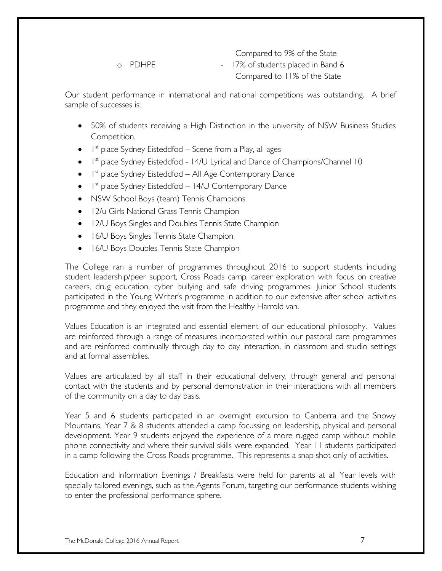Compared to 9% of the State o PDHPE - 17% of students placed in Band 6 Compared to 11% of the State

Our student performance in international and national competitions was outstanding. A brief sample of successes is:

- 50% of students receiving a High Distinction in the university of NSW Business Studies Competition.
- $\bullet$  I<sup>st</sup> place Sydney Eisteddfod Scene from a Play, all ages
- I<sup>st</sup> place Sydney Eisteddfod 14/U Lyrical and Dance of Champions/Channel 10
- $\bullet$  I<sup>st</sup> place Sydney Eisteddfod All Age Contemporary Dance
- $\bullet$  I<sup>st</sup> place Sydney Eisteddfod 14/U Contemporary Dance
- NSW School Boys (team) Tennis Champions
- 12/u Girls National Grass Tennis Champion
- 12/U Boys Singles and Doubles Tennis State Champion
- 16/U Boys Singles Tennis State Champion
- 16/U Boys Doubles Tennis State Champion

The College ran a number of programmes throughout 2016 to support students including student leadership/peer support, Cross Roads camp, career exploration with focus on creative careers, drug education, cyber bullying and safe driving programmes. Junior School students participated in the Young Writer's programme in addition to our extensive after school activities programme and they enjoyed the visit from the Healthy Harrold van.

Values Education is an integrated and essential element of our educational philosophy. Values are reinforced through a range of measures incorporated within our pastoral care programmes and are reinforced continually through day to day interaction, in classroom and studio settings and at formal assemblies.

Values are articulated by all staff in their educational delivery, through general and personal contact with the students and by personal demonstration in their interactions with all members of the community on a day to day basis.

Year 5 and 6 students participated in an overnight excursion to Canberra and the Snowy Mountains, Year 7 & 8 students attended a camp focussing on leadership, physical and personal development. Year 9 students enjoyed the experience of a more rugged camp without mobile phone connectivity and where their survival skills were expanded. Year 11 students participated in a camp following the Cross Roads programme. This represents a snap shot only of activities.

Education and Information Evenings / Breakfasts were held for parents at all Year levels with specially tailored evenings, such as the Agents Forum, targeting our performance students wishing to enter the professional performance sphere.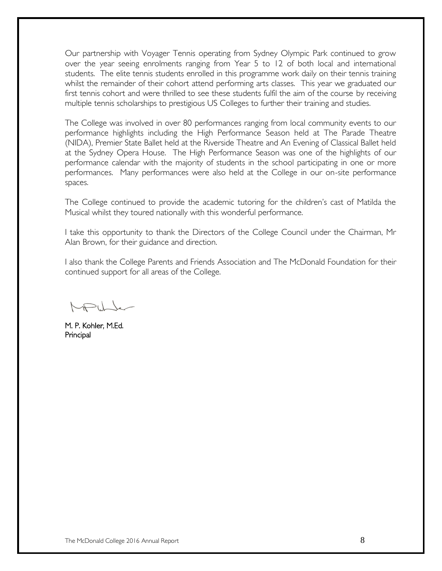Our partnership with Voyager Tennis operating from Sydney Olympic Park continued to grow over the year seeing enrolments ranging from Year 5 to 12 of both local and international students. The elite tennis students enrolled in this programme work daily on their tennis training whilst the remainder of their cohort attend performing arts classes. This year we graduated our first tennis cohort and were thrilled to see these students fulfil the aim of the course by receiving multiple tennis scholarships to prestigious US Colleges to further their training and studies.

The College was involved in over 80 performances ranging from local community events to our performance highlights including the High Performance Season held at The Parade Theatre (NIDA), Premier State Ballet held at the Riverside Theatre and An Evening of Classical Ballet held at the Sydney Opera House. The High Performance Season was one of the highlights of our performance calendar with the majority of students in the school participating in one or more performances. Many performances were also held at the College in our on-site performance spaces.

The College continued to provide the academic tutoring for the children's cast of Matilda the Musical whilst they toured nationally with this wonderful performance.

I take this opportunity to thank the Directors of the College Council under the Chairman, Mr Alan Brown, for their guidance and direction.

I also thank the College Parents and Friends Association and The McDonald Foundation for their continued support for all areas of the College.

M. P. Kohler, M.Ed. Principal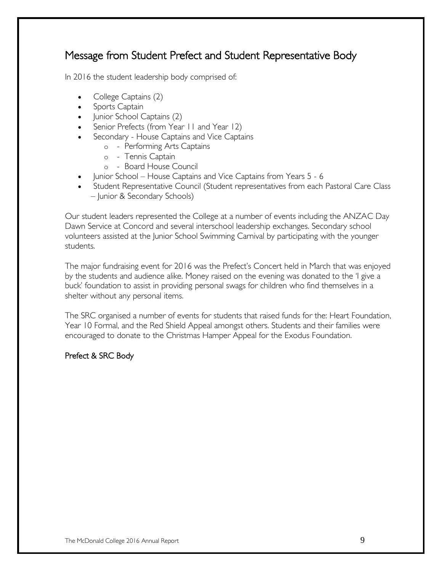### Message from Student Prefect and Student Representative Body

In 2016 the student leadership body comprised of:

- College Captains (2)
- Sports Captain
- Junior School Captains (2)
- Senior Prefects (from Year 11 and Year 12)
- Secondary House Captains and Vice Captains
	- o Performing Arts Captains
	- o Tennis Captain
	- o Board House Council
- Junior School House Captains and Vice Captains from Years 5 6
- Student Representative Council (Student representatives from each Pastoral Care Class – Junior & Secondary Schools)

Our student leaders represented the College at a number of events including the ANZAC Day Dawn Service at Concord and several interschool leadership exchanges. Secondary school volunteers assisted at the Junior School Swimming Carnival by participating with the younger students.

The major fundraising event for 2016 was the Prefect's Concert held in March that was enjoyed by the students and audience alike. Money raised on the evening was donated to the 'I give a buck' foundation to assist in providing personal swags for children who find themselves in a shelter without any personal items.

The SRC organised a number of events for students that raised funds for the: Heart Foundation, Year 10 Formal, and the Red Shield Appeal amongst others. Students and their families were encouraged to donate to the Christmas Hamper Appeal for the Exodus Foundation.

#### Prefect & SRC Body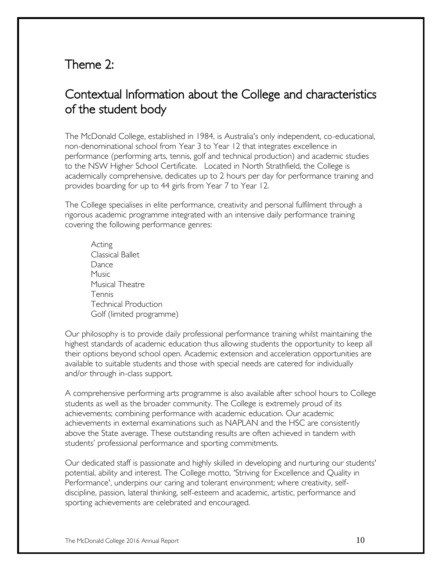### Theme 2:

### Contextual Information about the College and characteristics of the student body

The McDonald College, established in 1984, is Australia's only independent, co-educational, non-denominational school from Year 3 to Year 12 that integrates excellence in performance (performing arts, tennis, golf and technical production) and academic studies to the NSW Higher School Certificate. Located in North Strathfield, the College is academically comprehensive, dedicates up to 2 hours per day for performance training and provides boarding for up to 44 girls from Year 7 to Year 12.

The College specialises in elite performance, creativity and personal fulfilment through a rigorous academic programme integrated with an intensive daily performance training covering the following performance genres:

Acting Classical Ballet **Dance Music** Musical Theatre Tennis Technical Production Golf (limited programme)

Our philosophy is to provide daily professional performance training whilst maintaining the highest standards of academic education thus allowing students the opportunity to keep all their options beyond school open. Academic extension and acceleration opportunities are available to suitable students and those with special needs are catered for individually and/or through in-class support.

A comprehensive performing arts programme is also available after school hours to College students as well as the broader community. The College is extremely proud of its achievements; combining performance with academic education. Our academic achievements in external examinations such as NAPLAN and the HSC are consistently above the State average. These outstanding results are often achieved in tandem with students' professional performance and sporting commitments.

Our dedicated staff is passionate and highly skilled in developing and nurturing our students' potential, ability and interest. The College motto, 'Striving for Excellence and Quality in Performance', underpins our caring and tolerant environment; where creativity, selfdiscipline, passion, lateral thinking, self-esteem and academic, artistic, performance and sporting achievements are celebrated and encouraged.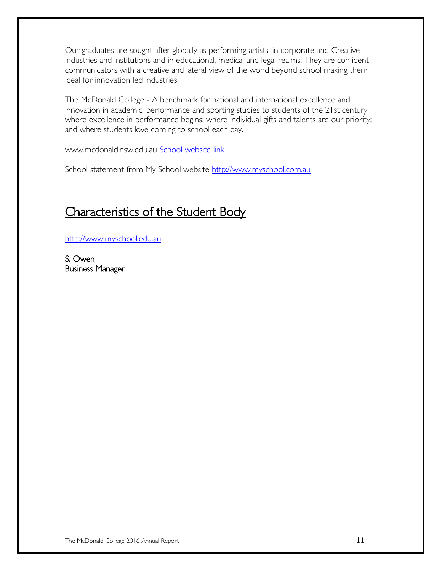Our graduates are sought after globally as performing artists, in corporate and Creative Industries and institutions and in educational, medical and legal realms. They are confident communicators with a creative and lateral view of the world beyond school making them ideal for innovation led industries.

The McDonald College - A benchmark for national and international excellence and innovation in academic, performance and sporting studies to students of the 21st century; where excellence in performance begins; where individual gifts and talents are our priority; and where students love coming to school each day.

www.mcdonald.nsw.edu.au [School website link](http://www.mcdonald.nsw.edu.au/) 

School statement from My School website [http://www.myschool.com.au](http://www.myschool.com.au/)

### Characteristics of the Student Body

[http://www.myschool.edu.au](http://www.myschool.edu.au/)

S. Owen Business Manager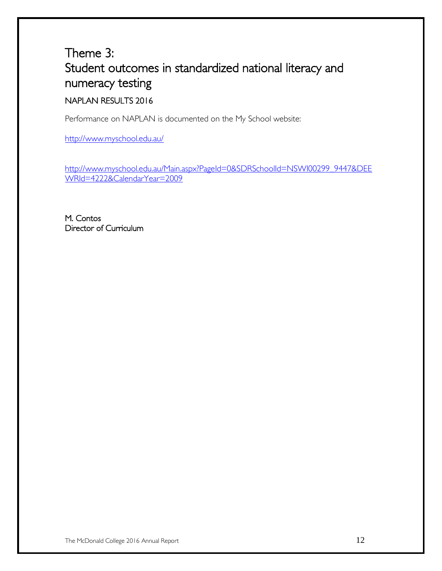# Theme 3: Student outcomes in standardized national literacy and numeracy testing

### NAPLAN RESULTS 2016

Performance on NAPLAN is documented on the My School website:

<http://www.myschool.edu.au/>

[http://www.myschool.edu.au/Main.aspx?PageId=0&SDRSchoolId=NSWI00299\\_9447&DEE](http://www.myschool.edu.au/Main.aspx?PageId=0&SDRSchoolId=NSWI00299_9447&DEEWRId=4222&CalendarYear=2009) [WRId=4222&CalendarYear=2009](http://www.myschool.edu.au/Main.aspx?PageId=0&SDRSchoolId=NSWI00299_9447&DEEWRId=4222&CalendarYear=2009)

M. Contos Director of Curriculum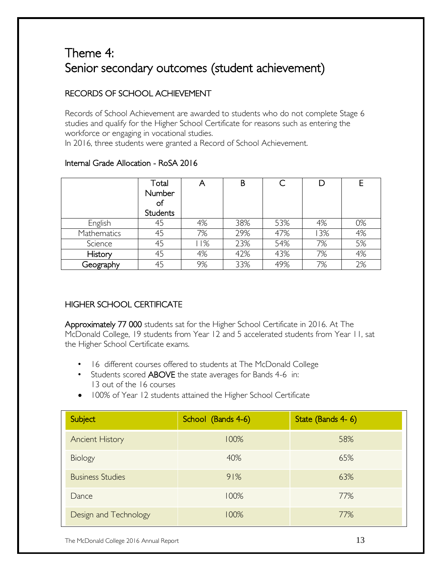# Theme 4: Senior secondary outcomes (student achievement)

#### RECORDS OF SCHOOL ACHIEVEMENT

Records of School Achievement are awarded to students who do not complete Stage 6 studies and qualify for the Higher School Certificate for reasons such as entering the workforce or engaging in vocational studies. In 2016, three students were granted a Record of School Achievement.

|             | Total<br>Number<br>of<br><b>Students</b> | Α   | B   |     | D   |    |
|-------------|------------------------------------------|-----|-----|-----|-----|----|
| English     | 45                                       | 4%  | 38% | 53% | 4%  | 0% |
| Mathematics | 45                                       | 7%  | 29% | 47% | 13% | 4% |
| Science     | 45                                       | 11% | 23% | 54% | 7%  | 5% |
| History     | 45                                       | 4%  | 42% | 43% | 7%  | 4% |
| Geography   |                                          | 9%  | 33% | 49% | 7%  | 2% |

#### Internal Grade Allocation - RoSA 2016

#### HIGHER SCHOOL CERTIFICATE

Approximately 77 000 students sat for the Higher School Certificate in 2016. At The McDonald College, 19 students from Year 12 and 5 accelerated students from Year 11, sat the Higher School Certificate exams.

- 16 different courses offered to students at The McDonald College
- Students scored ABOVE the state averages for Bands 4-6 in: 13 out of the 16 courses
- 100% of Year 12 students attained the Higher School Certificate

| Subject                 | School (Bands 4-6) | State (Bands 4-6) |
|-------------------------|--------------------|-------------------|
| <b>Ancient History</b>  | 100%               | 58%               |
| Biology                 | 40%                | 65%               |
| <b>Business Studies</b> | 91%                | 63%               |
| Dance                   | 100%               | 77%               |
| Design and Technology   | 100%               | 77%               |

The McDonald College 2016 Annual Report 13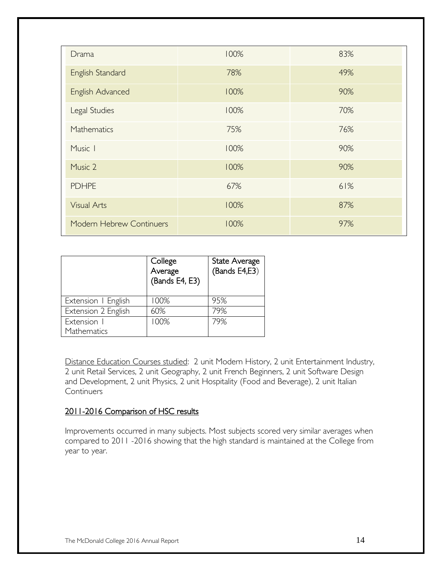| Drama                    | 100% | 83% |
|--------------------------|------|-----|
| English Standard         | 78%  | 49% |
| English Advanced         | 100% | 90% |
| Legal Studies            | 100% | 70% |
| Mathematics              | 75%  | 76% |
| Music I                  | 100% | 90% |
| Music 2                  | 100% | 90% |
| <b>PDHPE</b>             | 67%  | 61% |
| <b>Visual Arts</b>       | 100% | 87% |
| Modern Hebrew Continuers | 100% | 97% |

|                     | College<br>Average<br>(Bands E4, E3) | State Average<br>(Bands E4,E3) |
|---------------------|--------------------------------------|--------------------------------|
| Extension   English | 100%                                 | 95%                            |
| Extension 2 English | 60%                                  | 79%                            |
| Extension I         | 100%                                 | 79%                            |
| Mathematics         |                                      |                                |

Distance Education Courses studied: 2 unit Modern History, 2 unit Entertainment Industry, 2 unit Retail Services, 2 unit Geography, 2 unit French Beginners, 2 unit Software Design and Development, 2 unit Physics, 2 unit Hospitality (Food and Beverage), 2 unit Italian **Continuers** 

#### 2011-2016 Comparison of HSC results

Improvements occurred in many subjects. Most subjects scored very similar averages when compared to 2011 -2016 showing that the high standard is maintained at the College from year to year.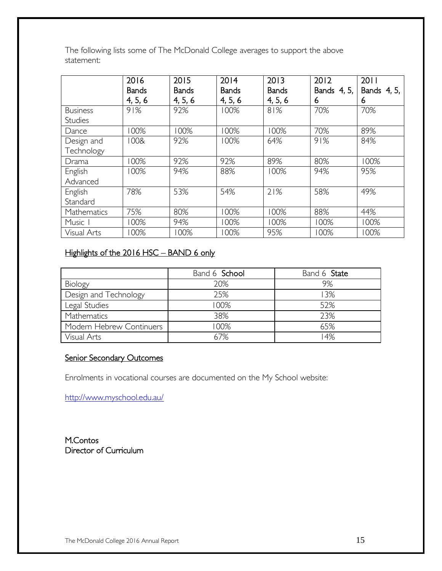The following lists some of The McDonald College averages to support the above statement:

|                 | 2016         | 2015         | 2014         | 2013         | 2012        | 2011        |
|-----------------|--------------|--------------|--------------|--------------|-------------|-------------|
|                 | <b>Bands</b> | <b>Bands</b> | <b>Bands</b> | <b>Bands</b> | Bands 4, 5, | Bands 4, 5, |
|                 | 4, 5, 6      | 4, 5, 6      | 4, 5, 6      | 4, 5, 6      | 6           | 6           |
| <b>Business</b> | 91%          | 92%          | 100%         | 81%          | 70%         | 70%         |
| <b>Studies</b>  |              |              |              |              |             |             |
| Dance           | 100%         | 100%         | 100%         | 100%         | 70%         | 89%         |
| Design and      | 100&         | 92%          | 100%         | 64%          | 91%         | 84%         |
| Technology      |              |              |              |              |             |             |
| Drama           | 100%         | 92%          | 92%          | 89%          | 80%         | 100%        |
| English         | 100%         | 94%          | 88%          | 100%         | 94%         | 95%         |
| Advanced        |              |              |              |              |             |             |
| English         | 78%          | 53%          | 54%          | 21%          | 58%         | 49%         |
| Standard        |              |              |              |              |             |             |
| Mathematics     | 75%          | 80%          | 100%         | 100%         | 88%         | 44%         |
| Music I         | 100%         | 94%          | 100%         | 100%         | 100%        | 100%        |
| Visual Arts     | 100%         | 100%         | 00%          | 95%          | 100%        | 100%        |

#### Highlights of the 2016 HSC - BAND 6 only

|                          | Band 6 School | Band 6 State |
|--------------------------|---------------|--------------|
| Biology                  | 20%           | 9%           |
| Design and Technology    | 25%           | 13%          |
| Legal Studies            | 100%          | 52%          |
| Mathematics              | 38%           | 23%          |
| Modern Hebrew Continuers | 100%          | 65%          |
| Visual Arts              | 67%           | 14%          |

#### Senior Secondary Outcomes

Enrolments in vocational courses are documented on the My School website:

<http://www.myschool.edu.au/>

M.Contos Director of Curriculum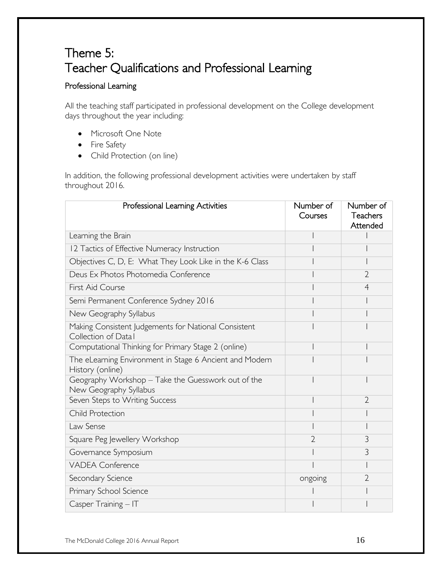# Theme 5: Teacher Qualifications and Professional Learning

#### Professional Learning

All the teaching staff participated in professional development on the College development days throughout the year including:

- Microsoft One Note
- Fire Safety
- Child Protection (on line)

In addition, the following professional development activities were undertaken by staff throughout 2016.

| Professional Learning Activities                                             | Number of<br>Courses | Number of<br><b>Teachers</b><br>Attended |
|------------------------------------------------------------------------------|----------------------|------------------------------------------|
| Learning the Brain                                                           |                      |                                          |
| 12 Tactics of Effective Numeracy Instruction                                 |                      |                                          |
| Objectives C, D, E: What They Look Like in the K-6 Class                     |                      |                                          |
| Deus Ex Photos Photomedia Conference                                         |                      | $\overline{2}$                           |
| First Aid Course                                                             |                      | $\overline{4}$                           |
| Semi Permanent Conference Sydney 2016                                        |                      |                                          |
| New Geography Syllabus                                                       |                      |                                          |
| Making Consistent Judgements for National Consistent<br>Collection of Datal  |                      |                                          |
| Computational Thinking for Primary Stage 2 (online)                          |                      |                                          |
| The eLearning Environment in Stage 6 Ancient and Modern<br>History (online)  |                      |                                          |
| Geography Workshop - Take the Guesswork out of the<br>New Geography Syllabus |                      |                                          |
| Seven Steps to Writing Success                                               |                      | $\overline{2}$                           |
| Child Protection                                                             |                      |                                          |
| Law Sense                                                                    |                      |                                          |
| Square Peg Jewellery Workshop                                                | $\overline{2}$       | 3                                        |
| Governance Symposium                                                         |                      | 3                                        |
| <b>VADEA Conference</b>                                                      |                      |                                          |
| Secondary Science                                                            | ongoing              | $\overline{2}$                           |
| Primary School Science                                                       |                      |                                          |
| $C$ asper Training $-$ IT                                                    |                      |                                          |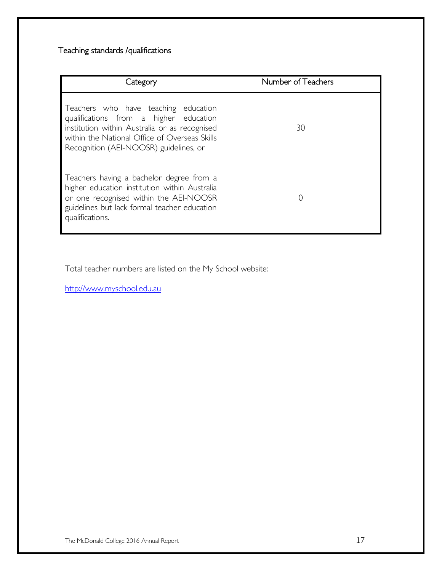#### Teaching standards /qualifications

| Category                                                                                                                                                                                                                   | Number of Teachers |
|----------------------------------------------------------------------------------------------------------------------------------------------------------------------------------------------------------------------------|--------------------|
| Teachers who have teaching education<br>qualifications from a higher education<br>institution within Australia or as recognised<br>within the National Office of Overseas Skills<br>Recognition (AEI-NOOSR) guidelines, or | 30                 |
| Teachers having a bachelor degree from a<br>higher education institution within Australia<br>or one recognised within the AEI-NOOSR<br>guidelines but lack formal teacher education<br>qualifications.                     | ( )                |

Total teacher numbers are listed on the My School website:

[http://www.myschool.edu.au](http://www.myschool.edu.au/)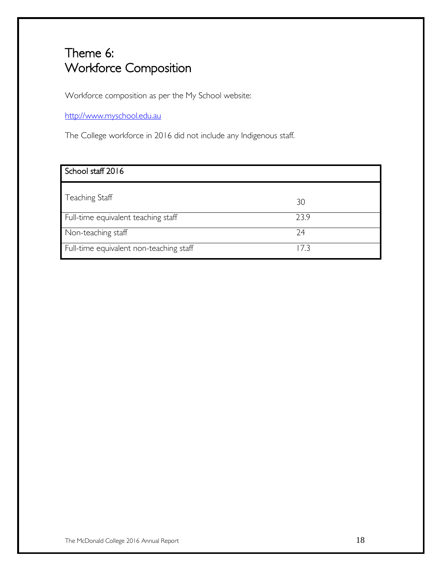# Theme 6: Workforce Composition

Workforce composition as per the My School website:

[http://www.myschool.edu.au](http://www.myschool.edu.au/)

The College workforce in 2016 did not include any Indigenous staff.

| School staff 2016                       |      |
|-----------------------------------------|------|
| Teaching Staff                          | 30   |
| Full-time equivalent teaching staff     | 23.9 |
| Non-teaching staff                      | 24   |
| Full-time equivalent non-teaching staff | 17 3 |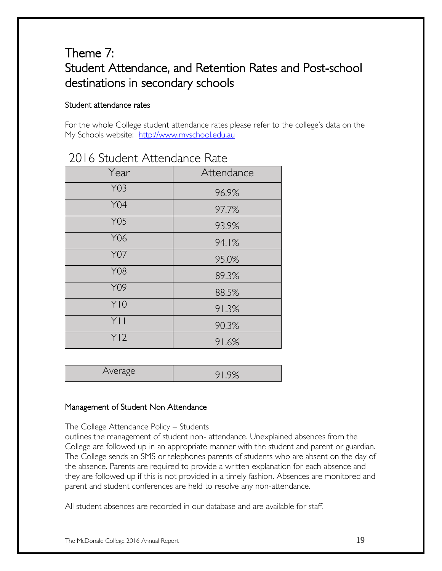## Theme 7: Student Attendance, and Retention Rates and Post-school destinations in secondary schools

#### Student attendance rates

For the whole College student attendance rates please refer to the college's data on the My Schools website: [http://www.myschool.edu.au](http://www.myschool.edu.au/)

| Year            | Attendance |  |  |
|-----------------|------------|--|--|
| Y03             | 96.9%      |  |  |
| <b>Y04</b>      | 97.7%      |  |  |
| <b>Y05</b>      | 93.9%      |  |  |
| Y06             | 94.1%      |  |  |
| <b>Y07</b>      | 95.0%      |  |  |
| <b>Y08</b>      | 89.3%      |  |  |
| Y09             | 88.5%      |  |  |
| Y10             | 91.3%      |  |  |
| Y               | 90.3%      |  |  |
| Y <sub>12</sub> | 91.6%      |  |  |

### 2016 Student Attendance Rate

| Average<br>╰ |  |
|--------------|--|
|--------------|--|

#### Management of Student Non Attendance

The College Attendance Policy – Students

outlines the management of student non- attendance. Unexplained absences from the College are followed up in an appropriate manner with the student and parent or guardian. The College sends an SMS or telephones parents of students who are absent on the day of the absence. Parents are required to provide a written explanation for each absence and they are followed up if this is not provided in a timely fashion. Absences are monitored and parent and student conferences are held to resolve any non-attendance.

All student absences are recorded in our database and are available for staff.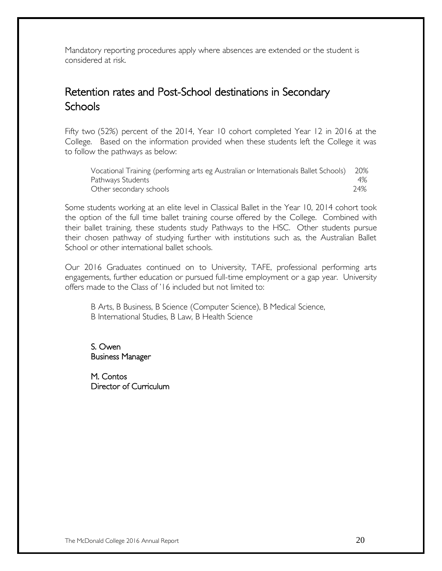Mandatory reporting procedures apply where absences are extended or the student is considered at risk.

### Retention rates and Post-School destinations in Secondary **Schools**

Fifty two (52%) percent of the 2014, Year 10 cohort completed Year 12 in 2016 at the College. Based on the information provided when these students left the College it was to follow the pathways as below:

| Vocational Training (performing arts eg Australian or Internationals Ballet Schools) 20% |     |
|------------------------------------------------------------------------------------------|-----|
| Pathways Students                                                                        | 4%  |
| Other secondary schools                                                                  | 24% |

Some students working at an elite level in Classical Ballet in the Year 10, 2014 cohort took the option of the full time ballet training course offered by the College. Combined with their ballet training, these students study Pathways to the HSC. Other students pursue their chosen pathway of studying further with institutions such as, the Australian Ballet School or other international ballet schools.

Our 2016 Graduates continued on to University, TAFE, professional performing arts engagements, further education or pursued full-time employment or a gap year. University offers made to the Class of '16 included but not limited to:

B Arts, B Business, B Science (Computer Science), B Medical Science, B International Studies, B Law, B Health Science

S. Owen Business Manager

M. Contos Director of Curriculum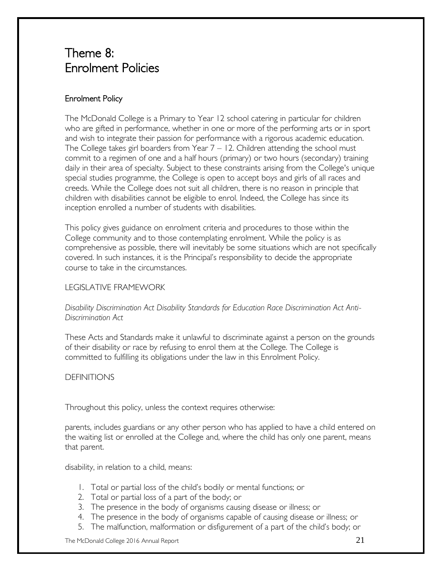### Theme 8: Enrolment Policies

#### Enrolment Policy

The McDonald College is a Primary to Year 12 school catering in particular for children who are gifted in performance, whether in one or more of the performing arts or in sport and wish to integrate their passion for performance with a rigorous academic education. The College takes girl boarders from Year  $7 - 12$ . Children attending the school must commit to a regimen of one and a half hours (primary) or two hours (secondary) training daily in their area of specialty. Subject to these constraints arising from the College's unique special studies programme, the College is open to accept boys and girls of all races and creeds. While the College does not suit all children, there is no reason in principle that children with disabilities cannot be eligible to enrol. Indeed, the College has since its inception enrolled a number of students with disabilities.

This policy gives guidance on enrolment criteria and procedures to those within the College community and to those contemplating enrolment. While the policy is as comprehensive as possible, there will inevitably be some situations which are not specifically covered. In such instances, it is the Principal's responsibility to decide the appropriate course to take in the circumstances.

#### LEGISLATIVE FRAMEWORK

#### *Disability Discrimination Act Disability Standards for Education Race Discrimination Act Anti-Discrimination Act*

These Acts and Standards make it unlawful to discriminate against a person on the grounds of their disability or race by refusing to enrol them at the College. The College is committed to fulfilling its obligations under the law in this Enrolment Policy.

#### DEFINITIONS

Throughout this policy, unless the context requires otherwise:

parents, includes guardians or any other person who has applied to have a child entered on the waiting list or enrolled at the College and, where the child has only one parent, means that parent.

disability, in relation to a child, means:

- 1. Total or partial loss of the child's bodily or mental functions; or
- 2. Total or partial loss of a part of the body; or
- 3. The presence in the body of organisms causing disease or illness; or
- 4. The presence in the body of organisms capable of causing disease or illness; or
- 5. The malfunction, malformation or disfigurement of a part of the child's body; or

The McDonald College 2016 Annual Report  $21$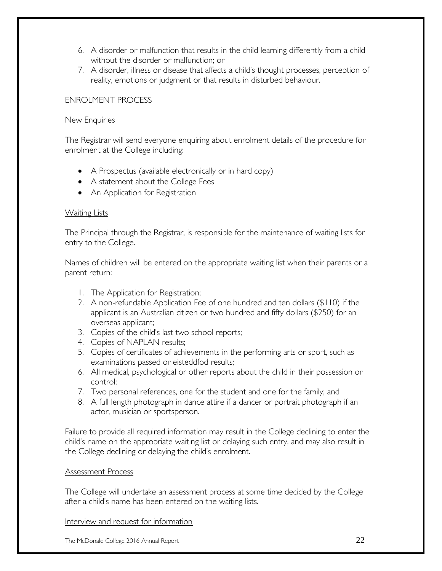- 6. A disorder or malfunction that results in the child learning differently from a child without the disorder or malfunction; or
- 7. A disorder, illness or disease that affects a child's thought processes, perception of reality, emotions or judgment or that results in disturbed behaviour.

#### ENROLMENT PROCESS

#### New Enquiries

The Registrar will send everyone enquiring about enrolment details of the procedure for enrolment at the College including:

- A Prospectus (available electronically or in hard copy)
- A statement about the College Fees
- An Application for Registration

#### **Waiting Lists**

The Principal through the Registrar, is responsible for the maintenance of waiting lists for entry to the College.

Names of children will be entered on the appropriate waiting list when their parents or a parent return:

- 1. The Application for Registration;
- 2. A non-refundable Application Fee of one hundred and ten dollars (\$110) if the applicant is an Australian citizen or two hundred and fifty dollars (\$250) for an overseas applicant;
- 3. Copies of the child's last two school reports;
- 4. Copies of NAPLAN results;
- 5. Copies of certificates of achievements in the performing arts or sport, such as examinations passed or eisteddfod results;
- 6. All medical, psychological or other reports about the child in their possession or control;
- 7. Two personal references, one for the student and one for the family; and
- 8. A full length photograph in dance attire if a dancer or portrait photograph if an actor, musician or sportsperson.

Failure to provide all required information may result in the College declining to enter the child's name on the appropriate waiting list or delaying such entry, and may also result in the College declining or delaying the child's enrolment.

#### Assessment Process

The College will undertake an assessment process at some time decided by the College after a child's name has been entered on the waiting lists.

Interview and request for information

The McDonald College 2016 Annual Report 22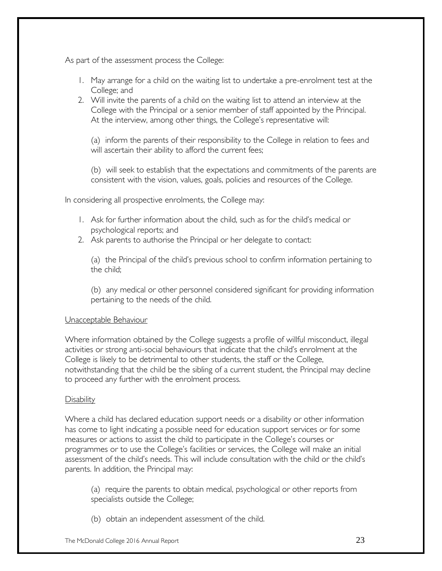As part of the assessment process the College:

- 1. May arrange for a child on the waiting list to undertake a pre-enrolment test at the College; and
- 2. Will invite the parents of a child on the waiting list to attend an interview at the College with the Principal or a senior member of staff appointed by the Principal. At the interview, among other things, the College's representative will:

(a) inform the parents of their responsibility to the College in relation to fees and will ascertain their ability to afford the current fees;

(b) will seek to establish that the expectations and commitments of the parents are consistent with the vision, values, goals, policies and resources of the College.

In considering all prospective enrolments, the College may:

- 1. Ask for further information about the child, such as for the child's medical or psychological reports; and
- 2. Ask parents to authorise the Principal or her delegate to contact:

(a) the Principal of the child's previous school to confirm information pertaining to the child;

(b) any medical or other personnel considered significant for providing information pertaining to the needs of the child.

#### Unacceptable Behaviour

Where information obtained by the College suggests a profile of willful misconduct, illegal activities or strong anti-social behaviours that indicate that the child's enrolment at the College is likely to be detrimental to other students, the staff or the College, notwithstanding that the child be the sibling of a current student, the Principal may decline to proceed any further with the enrolment process.

#### **Disability**

Where a child has declared education support needs or a disability or other information has come to light indicating a possible need for education support services or for some measures or actions to assist the child to participate in the College's courses or programmes or to use the College's facilities or services, the College will make an initial assessment of the child's needs. This will include consultation with the child or the child's parents. In addition, the Principal may:

(a) require the parents to obtain medical, psychological or other reports from specialists outside the College;

(b) obtain an independent assessment of the child.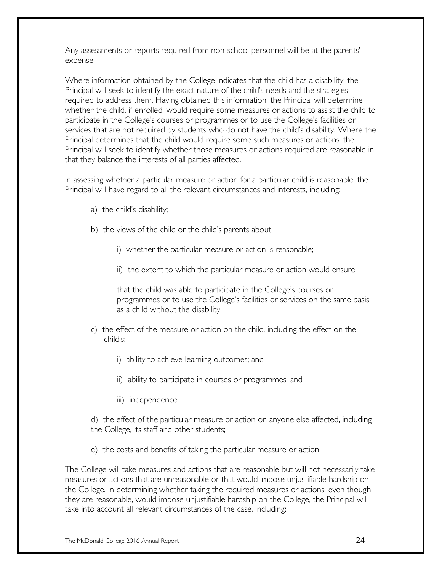Any assessments or reports required from non-school personnel will be at the parents' expense.

Where information obtained by the College indicates that the child has a disability, the Principal will seek to identify the exact nature of the child's needs and the strategies required to address them. Having obtained this information, the Principal will determine whether the child, if enrolled, would require some measures or actions to assist the child to participate in the College's courses or programmes or to use the College's facilities or services that are not required by students who do not have the child's disability. Where the Principal determines that the child would require some such measures or actions, the Principal will seek to identify whether those measures or actions required are reasonable in that they balance the interests of all parties affected.

In assessing whether a particular measure or action for a particular child is reasonable, the Principal will have regard to all the relevant circumstances and interests, including:

- a) the child's disability;
- b) the views of the child or the child's parents about:
	- i) whether the particular measure or action is reasonable;
	- ii) the extent to which the particular measure or action would ensure

that the child was able to participate in the College's courses or programmes or to use the College's facilities or services on the same basis as a child without the disability;

- c) the effect of the measure or action on the child, including the effect on the child's:
	- i) ability to achieve learning outcomes; and
	- ii) ability to participate in courses or programmes; and
	- iii) independence;

d) the effect of the particular measure or action on anyone else affected, including the College, its staff and other students;

e) the costs and benefits of taking the particular measure or action.

The College will take measures and actions that are reasonable but will not necessarily take measures or actions that are unreasonable or that would impose unjustifiable hardship on the College. In determining whether taking the required measures or actions, even though they are reasonable, would impose unjustifiable hardship on the College, the Principal will take into account all relevant circumstances of the case, including: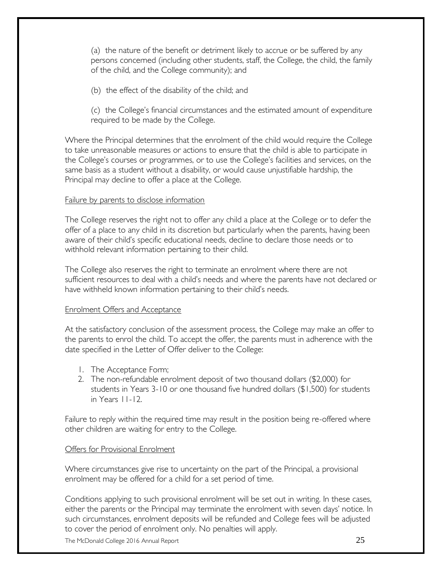(a) the nature of the benefit or detriment likely to accrue or be suffered by any persons concerned (including other students, staff, the College, the child, the family of the child, and the College community); and

(b) the effect of the disability of the child; and

(c) the College's financial circumstances and the estimated amount of expenditure required to be made by the College.

Where the Principal determines that the enrolment of the child would require the College to take unreasonable measures or actions to ensure that the child is able to participate in the College's courses or programmes, or to use the College's facilities and services, on the same basis as a student without a disability, or would cause unjustifiable hardship, the Principal may decline to offer a place at the College.

#### Failure by parents to disclose information

The College reserves the right not to offer any child a place at the College or to defer the offer of a place to any child in its discretion but particularly when the parents, having been aware of their child's specific educational needs, decline to declare those needs or to withhold relevant information pertaining to their child.

The College also reserves the right to terminate an enrolment where there are not sufficient resources to deal with a child's needs and where the parents have not declared or have withheld known information pertaining to their child's needs.

#### Enrolment Offers and Acceptance

At the satisfactory conclusion of the assessment process, the College may make an offer to the parents to enrol the child. To accept the offer, the parents must in adherence with the date specified in the Letter of Offer deliver to the College:

- 1. The Acceptance Form;
- 2. The non-refundable enrolment deposit of two thousand dollars (\$2,000) for students in Years 3-10 or one thousand five hundred dollars (\$1,500) for students in Years 11-12.

Failure to reply within the required time may result in the position being re-offered where other children are waiting for entry to the College.

#### **Offers for Provisional Enrolment**

Where circumstances give rise to uncertainty on the part of the Principal, a provisional enrolment may be offered for a child for a set period of time.

Conditions applying to such provisional enrolment will be set out in writing. In these cases, either the parents or the Principal may terminate the enrolment with seven days' notice. In such circumstances, enrolment deposits will be refunded and College fees will be adjusted to cover the period of enrolment only. No penalties will apply.

The McDonald College 2016 Annual Report  $25$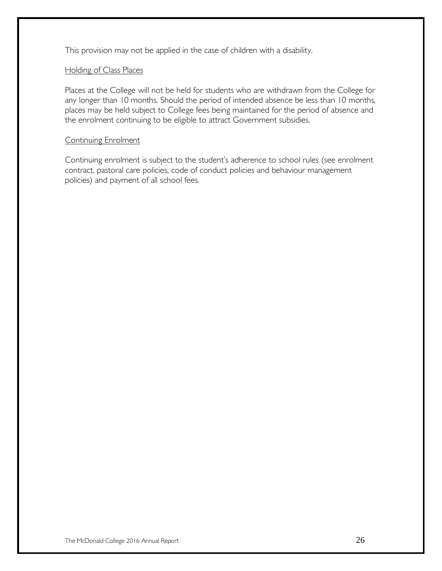This provision may not be applied in the case of children with a disability.

#### Holding of Class Places

Places at the College will not be held for students who are withdrawn from the College for any longer than 10 months. Should the period of intended absence be less than 10 months, places may be held subject to College fees being maintained for the period of absence and the enrolment continuing to be eligible to attract Government subsidies.

#### Continuing Enrolment

Continuing enrolment is subject to the student's adherence to school rules (see enrolment contract, pastoral care policies, code of conduct policies and behaviour management policies) and payment of all school fees.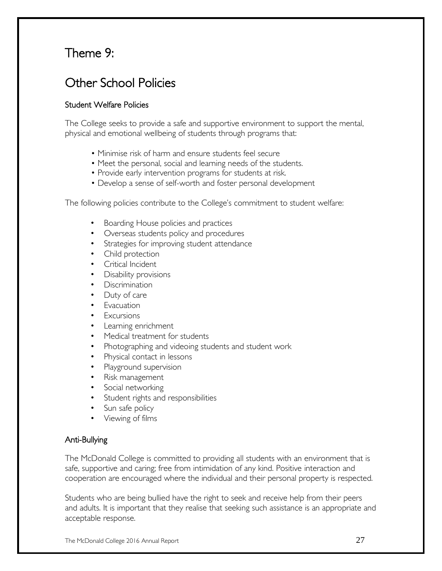### Theme 9:

### Other School Policies

#### Student Welfare Policies

The College seeks to provide a safe and supportive environment to support the mental, physical and emotional wellbeing of students through programs that:

- Minimise risk of harm and ensure students feel secure
- Meet the personal, social and learning needs of the students.
- Provide early intervention programs for students at risk.
- Develop a sense of self-worth and foster personal development

The following policies contribute to the College's commitment to student welfare:

- Boarding House policies and practices
- Overseas students policy and procedures
- Strategies for improving student attendance
- Child protection
- Critical Incident
- Disability provisions
- Discrimination
- Duty of care
- Evacuation
- Excursions
- Learning enrichment
- Medical treatment for students
- Photographing and videoing students and student work
- Physical contact in lessons
- Playground supervision
- Risk management
- Social networking
- Student rights and responsibilities
- Sun safe policy
- Viewing of films

#### Anti-Bullying

The McDonald College is committed to providing all students with an environment that is safe, supportive and caring; free from intimidation of any kind. Positive interaction and cooperation are encouraged where the individual and their personal property is respected.

Students who are being bullied have the right to seek and receive help from their peers and adults. It is important that they realise that seeking such assistance is an appropriate and acceptable response.

The McDonald College 2016 Annual Report  $27$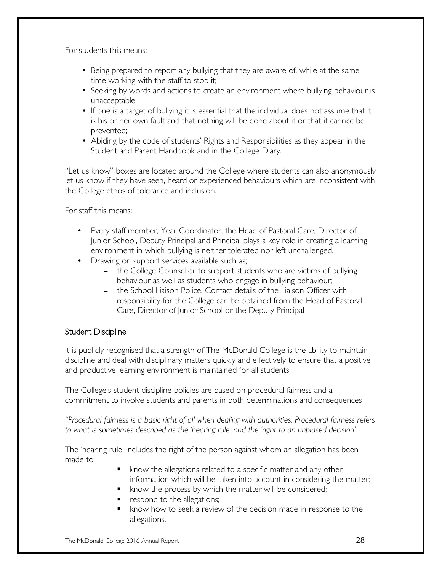For students this means:

- Being prepared to report any bullying that they are aware of, while at the same time working with the staff to stop it;
- Seeking by words and actions to create an environment where bullying behaviour is unacceptable;
- If one is a target of bullying it is essential that the individual does not assume that it is his or her own fault and that nothing will be done about it or that it cannot be prevented;
- Abiding by the code of students' Rights and Responsibilities as they appear in the Student and Parent Handbook and in the College Diary.

"Let us know" boxes are located around the College where students can also anonymously let us know if they have seen, heard or experienced behaviours which are inconsistent with the College ethos of tolerance and inclusion.

For staff this means:

- Every staff member, Year Coordinator, the Head of Pastoral Care, Director of Junior School, Deputy Principal and Principal plays a key role in creating a learning environment in which bullying is neither tolerated nor left unchallenged.
- Drawing on support services available such as;
	- the College Counsellor to support students who are victims of bullying behaviour as well as students who engage in bullying behaviour;
	- the School Liaison Police. Contact details of the Liaison Officer with responsibility for the College can be obtained from the Head of Pastoral Care, Director of Junior School or the Deputy Principal

#### Student Discipline

It is publicly recognised that a strength of The McDonald College is the ability to maintain discipline and deal with disciplinary matters quickly and effectively to ensure that a positive and productive learning environment is maintained for all students.

The College's student discipline policies are based on procedural fairness and a commitment to involve students and parents in both determinations and consequences

*"Procedural fairness is a basic right of all when dealing with authorities. Procedural fairness refers to what is sometimes described as the 'hearing rule' and the 'right to an unbiased decision'.*

The 'hearing rule' includes the right of the person against whom an allegation has been made to:

- know the allegations related to a specific matter and any other information which will be taken into account in considering the matter;
- **•** know the process by which the matter will be considered;
- respond to the allegations;
- **K** know how to seek a review of the decision made in response to the allegations.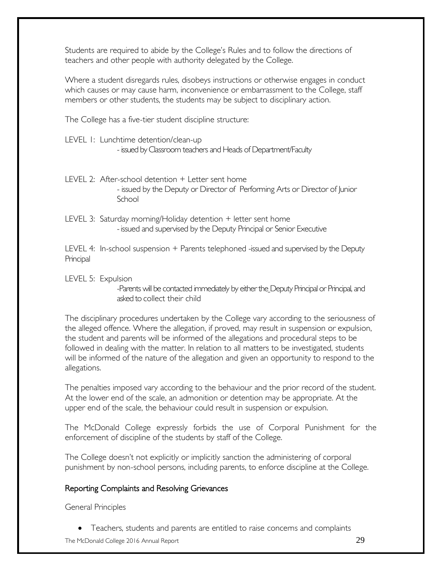Students are required to abide by the College's Rules and to follow the directions of teachers and other people with authority delegated by the College.

Where a student disregards rules, disobeys instructions or otherwise engages in conduct which causes or may cause harm, inconvenience or embarrassment to the College, staff members or other students, the students may be subject to disciplinary action.

The College has a five-tier student discipline structure:

LEVEL 1: Lunchtime detention/clean-up

- issued by Classroom teachers and Heads of Department/Faculty

- LEVEL 2: After-school detention + Letter sent home - issued by the Deputy or Director of Performing Arts or Director of Junior **School**
- LEVEL 3: Saturday morning/Holiday detention + letter sent home -issued and supervised by the Deputy Principal or Senior Executive

LEVEL 4: In-school suspension + Parents telephoned -issued and supervised by the Deputy **Principal** 

LEVEL 5: Expulsion

-Parents will be contacted immediately by either the Deputy Principal or Principal, and asked to collect their child

The disciplinary procedures undertaken by the College vary according to the seriousness of the alleged offence. Where the allegation, if proved, may result in suspension or expulsion, the student and parents will be informed of the allegations and procedural steps to be followed in dealing with the matter. In relation to all matters to be investigated, students will be informed of the nature of the allegation and given an opportunity to respond to the allegations.

The penalties imposed vary according to the behaviour and the prior record of the student. At the lower end of the scale, an admonition or detention may be appropriate. At the upper end of the scale, the behaviour could result in suspension or expulsion.

The McDonald College expressly forbids the use of Corporal Punishment for the enforcement of discipline of the students by staff of the College.

The College doesn't not explicitly or implicitly sanction the administering of corporal punishment by non-school persons, including parents, to enforce discipline at the College.

#### Reporting Complaints and Resolving Grievances

General Principles

Teachers, students and parents are entitled to raise concerns and complaints

The McDonald College 2016 Annual Report 20  $29$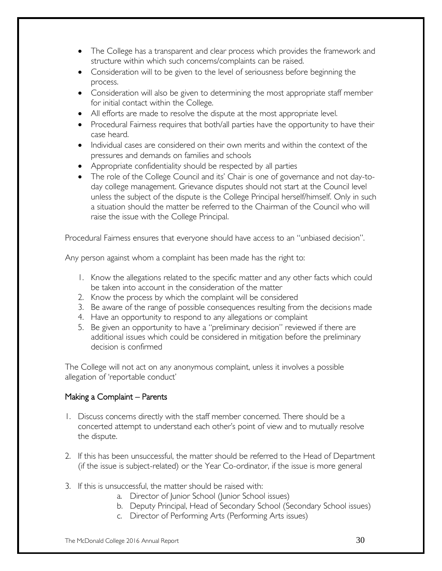- The College has a transparent and clear process which provides the framework and structure within which such concerns/complaints can be raised.
- Consideration will to be given to the level of seriousness before beginning the process.
- Consideration will also be given to determining the most appropriate staff member for initial contact within the College.
- All efforts are made to resolve the dispute at the most appropriate level.
- Procedural Fairness requires that both/all parties have the opportunity to have their case heard.
- Individual cases are considered on their own merits and within the context of the pressures and demands on families and schools
- Appropriate confidentiality should be respected by all parties
- The role of the College Council and its' Chair is one of governance and not day-today college management. Grievance disputes should not start at the Council level unless the subject of the dispute is the College Principal herself/himself. Only in such a situation should the matter be referred to the Chairman of the Council who will raise the issue with the College Principal.

Procedural Fairness ensures that everyone should have access to an "unbiased decision".

Any person against whom a complaint has been made has the right to:

- 1. Know the allegations related to the specific matter and any other facts which could be taken into account in the consideration of the matter
- 2. Know the process by which the complaint will be considered
- 3. Be aware of the range of possible consequences resulting from the decisions made
- 4. Have an opportunity to respond to any allegations or complaint
- 5. Be given an opportunity to have a "preliminary decision" reviewed if there are additional issues which could be considered in mitigation before the preliminary decision is confirmed

The College will not act on any anonymous complaint, unless it involves a possible allegation of 'reportable conduct'

#### Making a Complaint – Parents

- 1. Discuss concerns directly with the staff member concerned. There should be a concerted attempt to understand each other's point of view and to mutually resolve the dispute.
- 2. If this has been unsuccessful, the matter should be referred to the Head of Department (if the issue is subject-related) or the Year Co-ordinator, if the issue is more general
- 3. If this is unsuccessful, the matter should be raised with:
	- a. Director of Junior School (Junior School issues)
	- b. Deputy Principal, Head of Secondary School (Secondary School issues)
	- c. Director of Performing Arts (Performing Arts issues)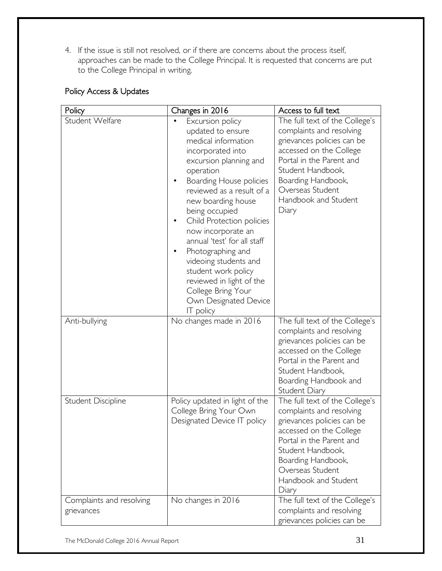4. If the issue is still not resolved, or if there are concerns about the process itself, approaches can be made to the College Principal. It is requested that concerns are put to the College Principal in writing.

#### Policy Access & Updates

| Policy                                 | Access to full text<br>Changes in 2016                                                                                                                                                                                                                                                                                                                                                                                                                                  |                                                                                                                                                                                                                                                 |
|----------------------------------------|-------------------------------------------------------------------------------------------------------------------------------------------------------------------------------------------------------------------------------------------------------------------------------------------------------------------------------------------------------------------------------------------------------------------------------------------------------------------------|-------------------------------------------------------------------------------------------------------------------------------------------------------------------------------------------------------------------------------------------------|
| Student Welfare                        | Excursion policy<br>updated to ensure<br>medical information<br>incorporated into<br>excursion planning and<br>operation<br>Boarding House policies<br>reviewed as a result of a<br>new boarding house<br>being occupied<br>Child Protection policies<br>now incorporate an<br>annual 'test' for all staff<br>Photographing and<br>videoing students and<br>student work policy<br>reviewed in light of the<br>College Bring Your<br>Own Designated Device<br>IT policy | The full text of the College's<br>complaints and resolving<br>grievances policies can be<br>accessed on the College<br>Portal in the Parent and<br>Student Handbook,<br>Boarding Handbook,<br>Overseas Student<br>Handbook and Student<br>Diary |
| Anti-bullying                          | No changes made in 2016                                                                                                                                                                                                                                                                                                                                                                                                                                                 | The full text of the College's<br>complaints and resolving<br>grievances policies can be<br>accessed on the College<br>Portal in the Parent and<br>Student Handbook,<br>Boarding Handbook and<br>Student Diary                                  |
| Student Discipline                     | Policy updated in light of the<br>College Bring Your Own<br>Designated Device IT policy                                                                                                                                                                                                                                                                                                                                                                                 | The full text of the College's<br>complaints and resolving<br>grievances policies can be<br>accessed on the College<br>Portal in the Parent and<br>Student Handbook,<br>Boarding Handbook,<br>Overseas Student<br>Handbook and Student<br>Diary |
| Complaints and resolving<br>grievances | No changes in 2016                                                                                                                                                                                                                                                                                                                                                                                                                                                      | The full text of the College's<br>complaints and resolving<br>grievances policies can be                                                                                                                                                        |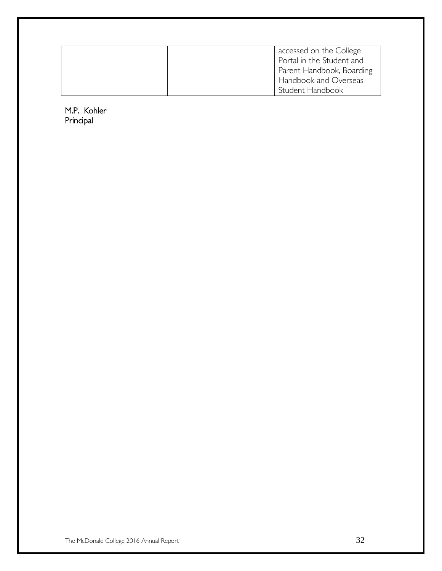| accessed on the College<br>Portal in the Student and |
|------------------------------------------------------|
|                                                      |
| Parent Handbook, Boarding                            |
| Handbook and Overseas                                |
| Student Handbook                                     |

M.P. Kohler Principal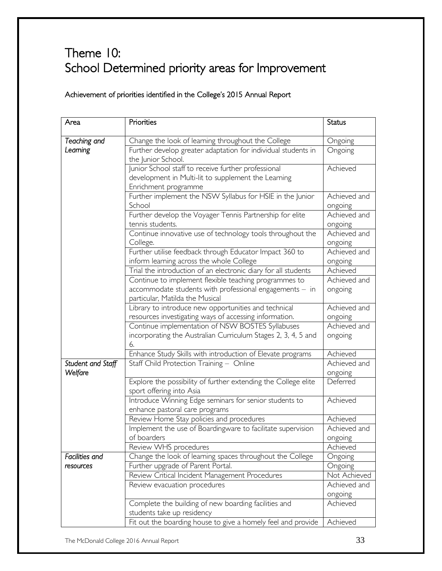# Theme 10: School Determined priority areas for Improvement

#### Achievement of priorities identified in the College's 2015 Annual Report

| Area                         | Priorities                                                                                                                                          | Status                  |
|------------------------------|-----------------------------------------------------------------------------------------------------------------------------------------------------|-------------------------|
| Teaching and                 | Change the look of learning throughout the College                                                                                                  | Ongoing                 |
| Leaming                      | Further develop greater adaptation for individual students in<br>the Junior School.                                                                 | Ongoing                 |
|                              | Junior School staff to receive further professional<br>development in Multi-lit to supplement the Learning<br>Enrichment programme                  | Achieved                |
|                              | Further implement the NSW Syllabus for HSIE in the Junior<br>School                                                                                 | Achieved and<br>ongoing |
|                              | Further develop the Voyager Tennis Partnership for elite<br>tennis students.                                                                        | Achieved and<br>ongoing |
|                              | Continue innovative use of technology tools throughout the<br>College.                                                                              | Achieved and<br>ongoing |
|                              | Further utilise feedback through Educator Impact 360 to<br>inform learning across the whole College                                                 | Achieved and<br>ongoing |
|                              | Trial the introduction of an electronic diary for all students                                                                                      | Achieved                |
|                              | Continue to implement flexible teaching programmes to<br>accommodate students with professional engagements - in<br>particular, Matilda the Musical | Achieved and<br>ongoing |
|                              | Library to introduce new opportunities and technical<br>resources investigating ways of accessing information.                                      | Achieved and<br>ongoing |
|                              | Continue implementation of NSW BOSTES Syllabuses<br>incorporating the Australian Curriculum Stages 2, 3, 4, 5 and<br>6.                             | Achieved and<br>ongoing |
|                              | Enhance Study Skills with introduction of Elevate programs                                                                                          | Achieved                |
| Student and Staff<br>Welfare | Staff Child Protection Training - Online                                                                                                            | Achieved and<br>ongoing |
|                              | Explore the possibility of further extending the College elite<br>sport offering into Asia                                                          | Deferred                |
|                              | Introduce Winning Edge seminars for senior students to<br>enhance pastoral care programs                                                            | Achieved                |
|                              | Review Home Stay policies and procedures                                                                                                            | Achieved                |
|                              | Implement the use of Boardingware to facilitate supervision<br>of boarders                                                                          | Achieved and<br>ongoing |
|                              | Review WHS procedures                                                                                                                               | Achieved                |
| Facilities and               | Change the look of learning spaces throughout the College                                                                                           | Ongoing                 |
| resources                    | Further upgrade of Parent Portal.                                                                                                                   | Ongoing                 |
|                              | Review Critical Incident Management Procedures                                                                                                      | Not Achieved            |
|                              | Review evacuation procedures                                                                                                                        | Achieved and<br>ongoing |
|                              | Complete the building of new boarding facilities and<br>students take up residency                                                                  | Achieved                |
|                              | Fit out the boarding house to give a homely feel and provide                                                                                        | Achieved                |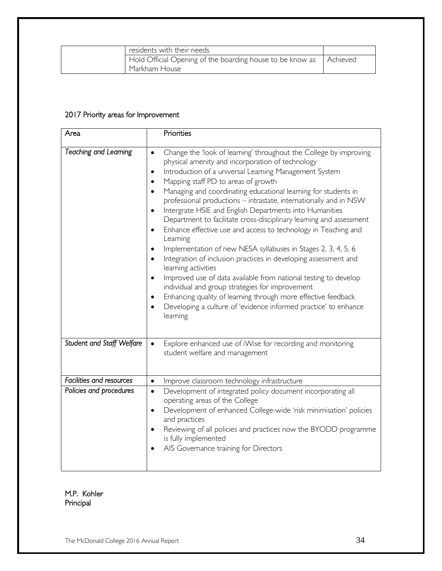| residents with their needs                                           |  |
|----------------------------------------------------------------------|--|
| Hold Official Opening of the boarding house to be know as   Achieved |  |
| Markham House                                                        |  |

#### 2017 Priority areas for Improvement

| Area                      | Priorities                                                                                                                                                                                                                                                                                                                                                                                                                                                                                                                                                                                                                                                                                                                                                                                                                                                                                                                                                                                                                                                                                                               |
|---------------------------|--------------------------------------------------------------------------------------------------------------------------------------------------------------------------------------------------------------------------------------------------------------------------------------------------------------------------------------------------------------------------------------------------------------------------------------------------------------------------------------------------------------------------------------------------------------------------------------------------------------------------------------------------------------------------------------------------------------------------------------------------------------------------------------------------------------------------------------------------------------------------------------------------------------------------------------------------------------------------------------------------------------------------------------------------------------------------------------------------------------------------|
| Teaching and Leaming      | Change the 'look of learning' throughout the College by improving<br>$\bullet$<br>physical amenity and incorporation of technology<br>Introduction of a universal Learning Management System<br>$\bullet$<br>Mapping staff PD to areas of growth<br>٠<br>Managing and coordinating educational learning for students in<br>٠<br>professional productions - intrastate, internationally and in NSW<br>Intergrate HSIE and English Departments into Humanities<br>$\bullet$<br>Department to facilitate cross-disciplinary learning and assessment<br>Enhance effective use and access to technology in Teaching and<br>$\bullet$<br>Learning<br>Implementation of new NESA syllabuses in Stages 2, 3, 4, 5, 6<br>$\bullet$<br>Integration of inclusion practices in developing assessment and<br>$\bullet$<br>learning activities<br>Improved use of data available from national testing to develop<br>$\bullet$<br>individual and group strategies for improvement<br>Enhancing quality of learning through more effective feedback<br>٠<br>Developing a culture of 'evidence informed practice' to enhance<br>learning |
| Student and Staff Welfare | Explore enhanced use of iWise for recording and monitoring<br>student welfare and management                                                                                                                                                                                                                                                                                                                                                                                                                                                                                                                                                                                                                                                                                                                                                                                                                                                                                                                                                                                                                             |
| Facilities and resources  | Improve classroom technology infrastructure<br>$\bullet$                                                                                                                                                                                                                                                                                                                                                                                                                                                                                                                                                                                                                                                                                                                                                                                                                                                                                                                                                                                                                                                                 |
| Policies and procedures   | Development of integrated policy document incorporating all<br>$\bullet$<br>operating areas of the College<br>Development of enhanced College-wide 'risk minimisation' policies<br>$\bullet$<br>and practices<br>Reviewing of all policies and practices now the BYODD programme<br>is fully implemented<br>AIS Governance training for Directors                                                                                                                                                                                                                                                                                                                                                                                                                                                                                                                                                                                                                                                                                                                                                                        |

M.P. Kohler Principal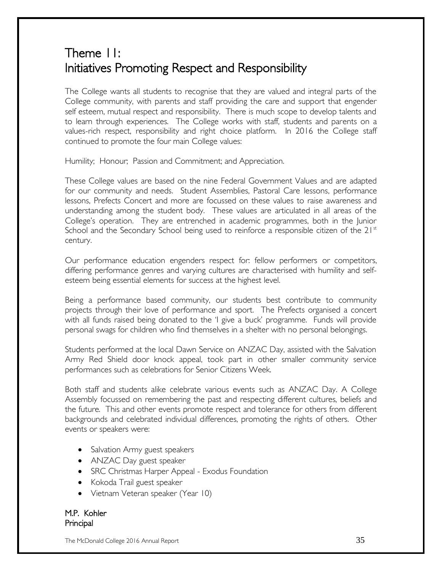## Theme 11: Initiatives Promoting Respect and Responsibility

The College wants all students to recognise that they are valued and integral parts of the College community, with parents and staff providing the care and support that engender self esteem, mutual respect and responsibility. There is much scope to develop talents and to learn through experiences. The College works with staff, students and parents on a values-rich respect, responsibility and right choice platform. In 2016 the College staff continued to promote the four main College values:

Humility; Honour; Passion and Commitment; and Appreciation.

These College values are based on the nine Federal Government Values and are adapted for our community and needs. Student Assemblies, Pastoral Care lessons, performance lessons, Prefects Concert and more are focussed on these values to raise awareness and understanding among the student body. These values are articulated in all areas of the College's operation. They are entrenched in academic programmes, both in the Junior School and the Secondary School being used to reinforce a responsible citizen of the  $21<sup>st</sup>$ century.

Our performance education engenders respect for: fellow performers or competitors, differing performance genres and varying cultures are characterised with humility and selfesteem being essential elements for success at the highest level.

Being a performance based community, our students best contribute to community projects through their love of performance and sport. The Prefects organised a concert with all funds raised being donated to the 'I give a buck' programme. Funds will provide personal swags for children who find themselves in a shelter with no personal belongings.

Students performed at the local Dawn Service on ANZAC Day, assisted with the Salvation Army Red Shield door knock appeal, took part in other smaller community service performances such as celebrations for Senior Citizens Week.

Both staff and students alike celebrate various events such as ANZAC Day. A College Assembly focussed on remembering the past and respecting different cultures, beliefs and the future. This and other events promote respect and tolerance for others from different backgrounds and celebrated individual differences, promoting the rights of others. Other events or speakers were:

- Salvation Army guest speakers
- ANZAC Day guest speaker
- SRC Christmas Harper Appeal Exodus Foundation
- Kokoda Trail guest speaker
- Vietnam Veteran speaker (Year 10)

M.P. Kohler Principal

The McDonald College 2016 Annual Report  $35$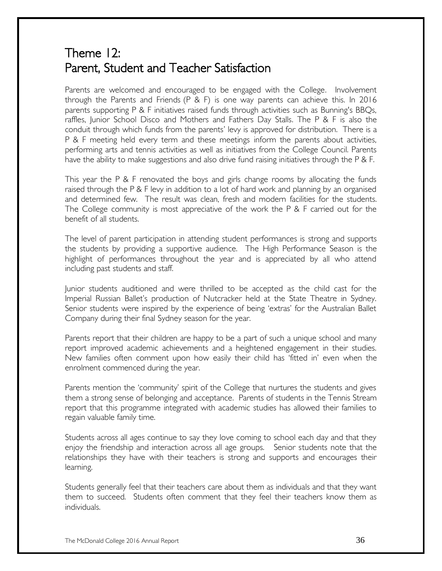### Theme 12: Parent, Student and Teacher Satisfaction

Parents are welcomed and encouraged to be engaged with the College. Involvement through the Parents and Friends (P & F) is one way parents can achieve this. In 2016 parents supporting P & F initiatives raised funds through activities such as Bunning's BBQs, raffles, Junior School Disco and Mothers and Fathers Day Stalls. The P & F is also the conduit through which funds from the parents' levy is approved for distribution. There is a P & F meeting held every term and these meetings inform the parents about activities, performing arts and tennis activities as well as initiatives from the College Council. Parents have the ability to make suggestions and also drive fund raising initiatives through the P & F.

This year the P & F renovated the boys and girls change rooms by allocating the funds raised through the P & F levy in addition to a lot of hard work and planning by an organised and determined few. The result was clean, fresh and modern facilities for the students. The College community is most appreciative of the work the P & F carried out for the benefit of all students.

The level of parent participation in attending student performances is strong and supports the students by providing a supportive audience. The High Performance Season is the highlight of performances throughout the year and is appreciated by all who attend including past students and staff.

Junior students auditioned and were thrilled to be accepted as the child cast for the Imperial Russian Ballet's production of Nutcracker held at the State Theatre in Sydney. Senior students were inspired by the experience of being 'extras' for the Australian Ballet Company during their final Sydney season for the year.

Parents report that their children are happy to be a part of such a unique school and many report improved academic achievements and a heightened engagement in their studies. New families often comment upon how easily their child has 'fitted in' even when the enrolment commenced during the year.

Parents mention the 'community' spirit of the College that nurtures the students and gives them a strong sense of belonging and acceptance. Parents of students in the Tennis Stream report that this programme integrated with academic studies has allowed their families to regain valuable family time.

Students across all ages continue to say they love coming to school each day and that they enjoy the friendship and interaction across all age groups. Senior students note that the relationships they have with their teachers is strong and supports and encourages their learning.

Students generally feel that their teachers care about them as individuals and that they want them to succeed. Students often comment that they feel their teachers know them as individuals.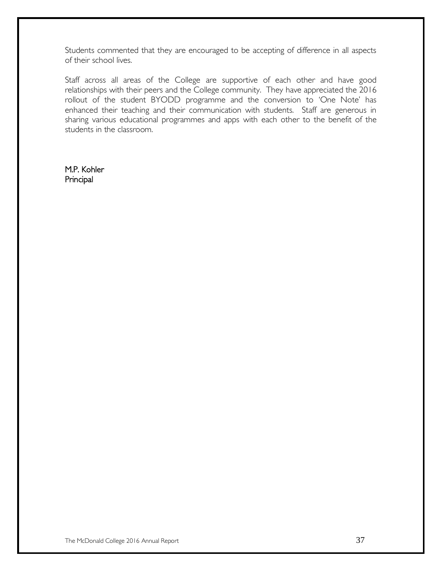Students commented that they are encouraged to be accepting of difference in all aspects of their school lives.

Staff across all areas of the College are supportive of each other and have good relationships with their peers and the College community. They have appreciated the 2016 rollout of the student BYODD programme and the conversion to 'One Note' has enhanced their teaching and their communication with students. Staff are generous in sharing various educational programmes and apps with each other to the benefit of the students in the classroom.

M.P. Kohler Principal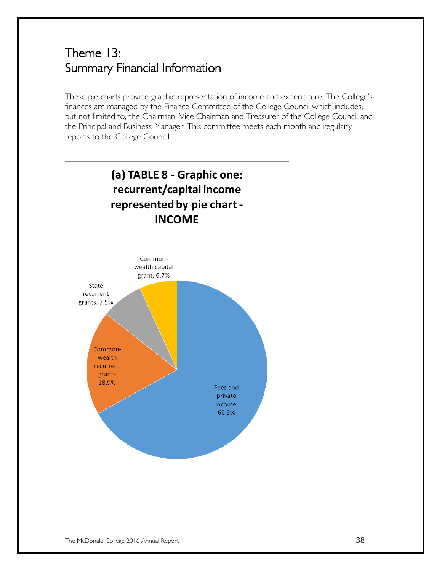## Theme 13: Summary Financial Information

These pie charts provide graphic representation of income and expenditure. The College's finances are managed by the Finance Committee of the College Council which includes, but not limited to, the Chairman, Vice Chairman and Treasurer of the College Council and the Principal and Business Manager. This committee meets each month and regularly reports to the College Council.

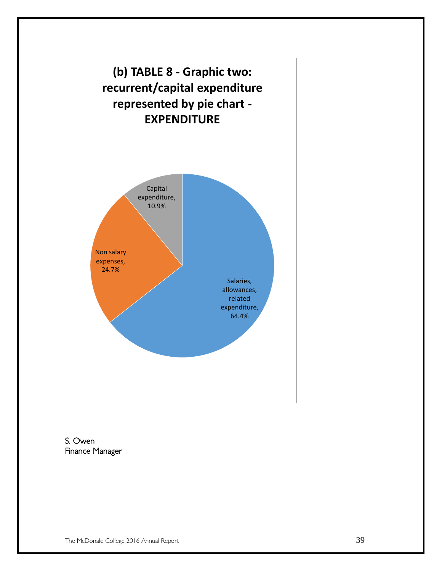

S. Owen Finance Manager